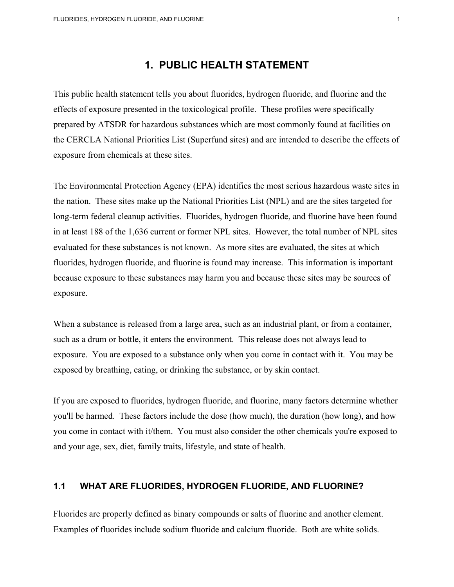This public health statement tells you about fluorides, hydrogen fluoride, and fluorine and the effects of exposure presented in the toxicological profile. These profiles were specifically prepared by ATSDR for hazardous substances which are most commonly found at facilities on the CERCLA National Priorities List (Superfund sites) and are intended to describe the effects of exposure from chemicals at these sites.

The Environmental Protection Agency (EPA) identifies the most serious hazardous waste sites in the nation. These sites make up the National Priorities List (NPL) and are the sites targeted for long-term federal cleanup activities. Fluorides, hydrogen fluoride, and fluorine have been found in at least 188 of the 1,636 current or former NPL sites. However, the total number of NPL sites evaluated for these substances is not known. As more sites are evaluated, the sites at which fluorides, hydrogen fluoride, and fluorine is found may increase. This information is important because exposure to these substances may harm you and because these sites may be sources of exposure.

When a substance is released from a large area, such as an industrial plant, or from a container, such as a drum or bottle, it enters the environment. This release does not always lead to exposure. You are exposed to a substance only when you come in contact with it. You may be exposed by breathing, eating, or drinking the substance, or by skin contact.

If you are exposed to fluorides, hydrogen fluoride, and fluorine, many factors determine whether you'll be harmed. These factors include the dose (how much), the duration (how long), and how you come in contact with it/them. You must also consider the other chemicals you're exposed to and your age, sex, diet, family traits, lifestyle, and state of health.

# **1.1 WHAT ARE FLUORIDES, HYDROGEN FLUORIDE, AND FLUORINE?**

Fluorides are properly defined as binary compounds or salts of fluorine and another element. Examples of fluorides include sodium fluoride and calcium fluoride. Both are white solids.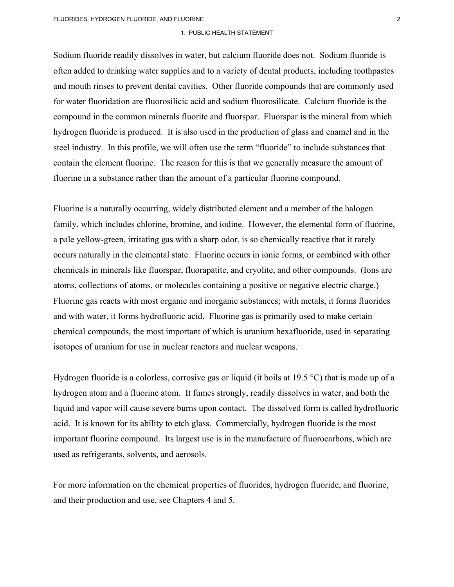Sodium fluoride readily dissolves in water, but calcium fluoride does not. Sodium fluoride is often added to drinking water supplies and to a variety of dental products, including toothpastes and mouth rinses to prevent dental cavities. Other fluoride compounds that are commonly used for water fluoridation are fluorosilicic acid and sodium fluorosilicate. Calcium fluoride is the compound in the common minerals fluorite and fluorspar. Fluorspar is the mineral from which hydrogen fluoride is produced. It is also used in the production of glass and enamel and in the steel industry. In this profile, we will often use the term "fluoride" to include substances that contain the element fluorine. The reason for this is that we generally measure the amount of fluorine in a substance rather than the amount of a particular fluorine compound.

Fluorine is a naturally occurring, widely distributed element and a member of the halogen family, which includes chlorine, bromine, and iodine. However, the elemental form of fluorine, a pale yellow-green, irritating gas with a sharp odor, is so chemically reactive that it rarely occurs naturally in the elemental state. Fluorine occurs in ionic forms, or combined with other chemicals in minerals like fluorspar, fluorapatite, and cryolite, and other compounds. (Ions are atoms, collections of atoms, or molecules containing a positive or negative electric charge.) Fluorine gas reacts with most organic and inorganic substances; with metals, it forms fluorides and with water, it forms hydrofluoric acid. Fluorine gas is primarily used to make certain chemical compounds, the most important of which is uranium hexafluoride, used in separating isotopes of uranium for use in nuclear reactors and nuclear weapons.

Hydrogen fluoride is a colorless, corrosive gas or liquid (it boils at 19.5 °C) that is made up of a hydrogen atom and a fluorine atom. It fumes strongly, readily dissolves in water, and both the liquid and vapor will cause severe burns upon contact. The dissolved form is called hydrofluoric acid. It is known for its ability to etch glass. Commercially, hydrogen fluoride is the most important fluorine compound. Its largest use is in the manufacture of fluorocarbons, which are used as refrigerants, solvents, and aerosols.

For more information on the chemical properties of fluorides, hydrogen fluoride, and fluorine, and their production and use, see Chapters 4 and 5.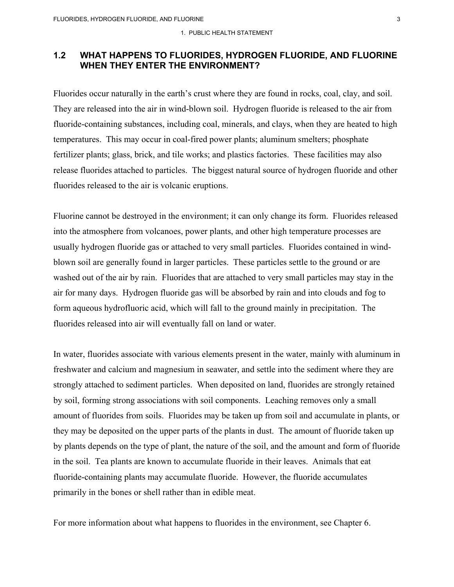## **1.2 WHAT HAPPENS TO FLUORIDES, HYDROGEN FLUORIDE, AND FLUORINE WHEN THEY ENTER THE ENVIRONMENT?**

Fluorides occur naturally in the earth's crust where they are found in rocks, coal, clay, and soil. They are released into the air in wind-blown soil. Hydrogen fluoride is released to the air from fluoride-containing substances, including coal, minerals, and clays, when they are heated to high temperatures. This may occur in coal-fired power plants; aluminum smelters; phosphate fertilizer plants; glass, brick, and tile works; and plastics factories. These facilities may also release fluorides attached to particles. The biggest natural source of hydrogen fluoride and other fluorides released to the air is volcanic eruptions.

Fluorine cannot be destroyed in the environment; it can only change its form. Fluorides released into the atmosphere from volcanoes, power plants, and other high temperature processes are usually hydrogen fluoride gas or attached to very small particles. Fluorides contained in windblown soil are generally found in larger particles. These particles settle to the ground or are washed out of the air by rain. Fluorides that are attached to very small particles may stay in the air for many days. Hydrogen fluoride gas will be absorbed by rain and into clouds and fog to form aqueous hydrofluoric acid, which will fall to the ground mainly in precipitation. The fluorides released into air will eventually fall on land or water.

In water, fluorides associate with various elements present in the water, mainly with aluminum in freshwater and calcium and magnesium in seawater, and settle into the sediment where they are strongly attached to sediment particles. When deposited on land, fluorides are strongly retained by soil, forming strong associations with soil components. Leaching removes only a small amount of fluorides from soils. Fluorides may be taken up from soil and accumulate in plants, or they may be deposited on the upper parts of the plants in dust. The amount of fluoride taken up by plants depends on the type of plant, the nature of the soil, and the amount and form of fluoride in the soil. Tea plants are known to accumulate fluoride in their leaves. Animals that eat fluoride-containing plants may accumulate fluoride. However, the fluoride accumulates primarily in the bones or shell rather than in edible meat.

For more information about what happens to fluorides in the environment, see Chapter 6.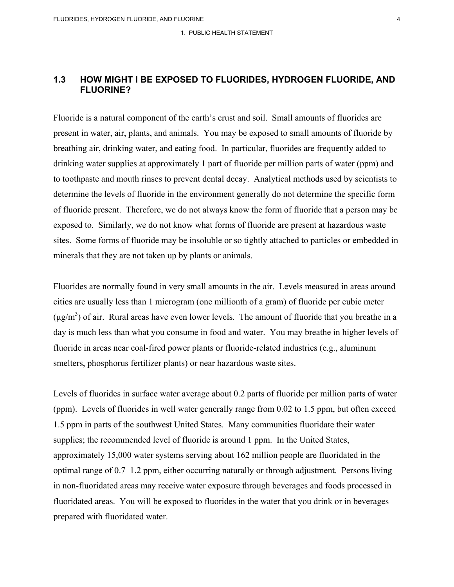# **1.3 HOW MIGHT I BE EXPOSED TO FLUORIDES, HYDROGEN FLUORIDE, AND FLUORINE?**

Fluoride is a natural component of the earth's crust and soil. Small amounts of fluorides are present in water, air, plants, and animals. You may be exposed to small amounts of fluoride by breathing air, drinking water, and eating food. In particular, fluorides are frequently added to drinking water supplies at approximately 1 part of fluoride per million parts of water (ppm) and to toothpaste and mouth rinses to prevent dental decay. Analytical methods used by scientists to determine the levels of fluoride in the environment generally do not determine the specific form of fluoride present. Therefore, we do not always know the form of fluoride that a person may be exposed to. Similarly, we do not know what forms of fluoride are present at hazardous waste sites. Some forms of fluoride may be insoluble or so tightly attached to particles or embedded in minerals that they are not taken up by plants or animals.

Fluorides are normally found in very small amounts in the air. Levels measured in areas around cities are usually less than 1 microgram (one millionth of a gram) of fluoride per cubic meter  $(\mu g/m^3)$  of air. Rural areas have even lower levels. The amount of fluoride that you breathe in a day is much less than what you consume in food and water. You may breathe in higher levels of fluoride in areas near coal-fired power plants or fluoride-related industries (e.g., aluminum smelters, phosphorus fertilizer plants) or near hazardous waste sites.

Levels of fluorides in surface water average about 0.2 parts of fluoride per million parts of water (ppm). Levels of fluorides in well water generally range from 0.02 to 1.5 ppm, but often exceed 1.5 ppm in parts of the southwest United States. Many communities fluoridate their water supplies; the recommended level of fluoride is around 1 ppm. In the United States, approximately 15,000 water systems serving about 162 million people are fluoridated in the optimal range of 0.7–1.2 ppm, either occurring naturally or through adjustment. Persons living in non-fluoridated areas may receive water exposure through beverages and foods processed in fluoridated areas. You will be exposed to fluorides in the water that you drink or in beverages prepared with fluoridated water.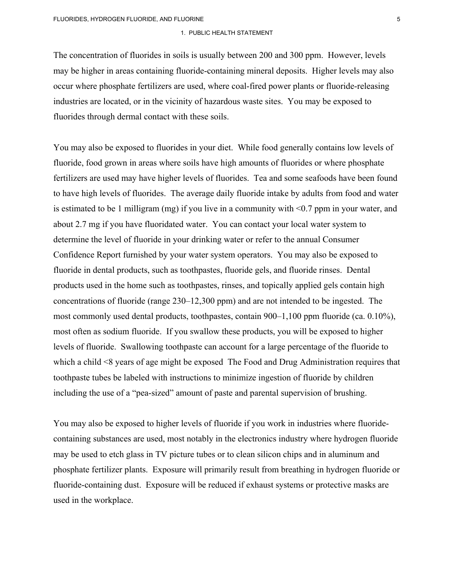The concentration of fluorides in soils is usually between 200 and 300 ppm. However, levels may be higher in areas containing fluoride-containing mineral deposits. Higher levels may also occur where phosphate fertilizers are used, where coal-fired power plants or fluoride-releasing industries are located, or in the vicinity of hazardous waste sites. You may be exposed to fluorides through dermal contact with these soils.

You may also be exposed to fluorides in your diet. While food generally contains low levels of fluoride, food grown in areas where soils have high amounts of fluorides or where phosphate fertilizers are used may have higher levels of fluorides. Tea and some seafoods have been found to have high levels of fluorides. The average daily fluoride intake by adults from food and water is estimated to be 1 milligram (mg) if you live in a community with  $\leq 0.7$  ppm in your water, and about 2.7 mg if you have fluoridated water. You can contact your local water system to determine the level of fluoride in your drinking water or refer to the annual Consumer Confidence Report furnished by your water system operators. You may also be exposed to fluoride in dental products, such as toothpastes, fluoride gels, and fluoride rinses. Dental products used in the home such as toothpastes, rinses, and topically applied gels contain high concentrations of fluoride (range 230–12,300 ppm) and are not intended to be ingested. The most commonly used dental products, toothpastes, contain 900–1,100 ppm fluoride (ca. 0.10%), most often as sodium fluoride. If you swallow these products, you will be exposed to higher levels of fluoride. Swallowing toothpaste can account for a large percentage of the fluoride to which a child <8 years of age might be exposed The Food and Drug Administration requires that toothpaste tubes be labeled with instructions to minimize ingestion of fluoride by children including the use of a "pea-sized" amount of paste and parental supervision of brushing.

You may also be exposed to higher levels of fluoride if you work in industries where fluoridecontaining substances are used, most notably in the electronics industry where hydrogen fluoride may be used to etch glass in TV picture tubes or to clean silicon chips and in aluminum and phosphate fertilizer plants. Exposure will primarily result from breathing in hydrogen fluoride or fluoride-containing dust. Exposure will be reduced if exhaust systems or protective masks are used in the workplace.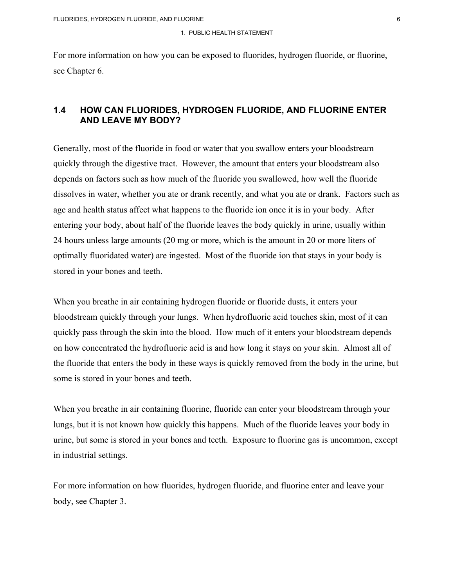For more information on how you can be exposed to fluorides, hydrogen fluoride, or fluorine, see Chapter 6.

# **1.4 HOW CAN FLUORIDES, HYDROGEN FLUORIDE, AND FLUORINE ENTER AND LEAVE MY BODY?**

Generally, most of the fluoride in food or water that you swallow enters your bloodstream quickly through the digestive tract. However, the amount that enters your bloodstream also depends on factors such as how much of the fluoride you swallowed, how well the fluoride dissolves in water, whether you ate or drank recently, and what you ate or drank. Factors such as age and health status affect what happens to the fluoride ion once it is in your body. After entering your body, about half of the fluoride leaves the body quickly in urine, usually within 24 hours unless large amounts (20 mg or more, which is the amount in 20 or more liters of optimally fluoridated water) are ingested. Most of the fluoride ion that stays in your body is stored in your bones and teeth.

When you breathe in air containing hydrogen fluoride or fluoride dusts, it enters your bloodstream quickly through your lungs. When hydrofluoric acid touches skin, most of it can quickly pass through the skin into the blood. How much of it enters your bloodstream depends on how concentrated the hydrofluoric acid is and how long it stays on your skin. Almost all of the fluoride that enters the body in these ways is quickly removed from the body in the urine, but some is stored in your bones and teeth.

When you breathe in air containing fluorine, fluoride can enter your bloodstream through your lungs, but it is not known how quickly this happens. Much of the fluoride leaves your body in urine, but some is stored in your bones and teeth. Exposure to fluorine gas is uncommon, except in industrial settings.

For more information on how fluorides, hydrogen fluoride, and fluorine enter and leave your body, see Chapter 3.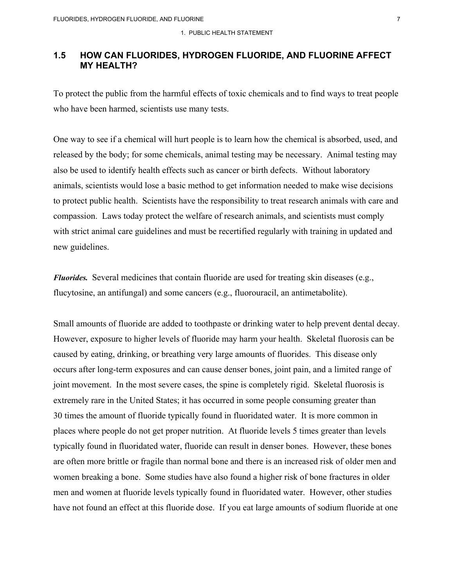## **1.5 HOW CAN FLUORIDES, HYDROGEN FLUORIDE, AND FLUORINE AFFECT MY HEALTH?**

To protect the public from the harmful effects of toxic chemicals and to find ways to treat people who have been harmed, scientists use many tests.

One way to see if a chemical will hurt people is to learn how the chemical is absorbed, used, and released by the body; for some chemicals, animal testing may be necessary. Animal testing may also be used to identify health effects such as cancer or birth defects. Without laboratory animals, scientists would lose a basic method to get information needed to make wise decisions to protect public health. Scientists have the responsibility to treat research animals with care and compassion. Laws today protect the welfare of research animals, and scientists must comply with strict animal care guidelines and must be recertified regularly with training in updated and new guidelines.

*Fluorides.* Several medicines that contain fluoride are used for treating skin diseases (e.g., flucytosine, an antifungal) and some cancers (e.g., fluorouracil, an antimetabolite).

Small amounts of fluoride are added to toothpaste or drinking water to help prevent dental decay. However, exposure to higher levels of fluoride may harm your health. Skeletal fluorosis can be caused by eating, drinking, or breathing very large amounts of fluorides. This disease only occurs after long-term exposures and can cause denser bones, joint pain, and a limited range of joint movement. In the most severe cases, the spine is completely rigid. Skeletal fluorosis is extremely rare in the United States; it has occurred in some people consuming greater than 30 times the amount of fluoride typically found in fluoridated water. It is more common in places where people do not get proper nutrition. At fluoride levels 5 times greater than levels typically found in fluoridated water, fluoride can result in denser bones. However, these bones are often more brittle or fragile than normal bone and there is an increased risk of older men and women breaking a bone. Some studies have also found a higher risk of bone fractures in older men and women at fluoride levels typically found in fluoridated water. However, other studies have not found an effect at this fluoride dose. If you eat large amounts of sodium fluoride at one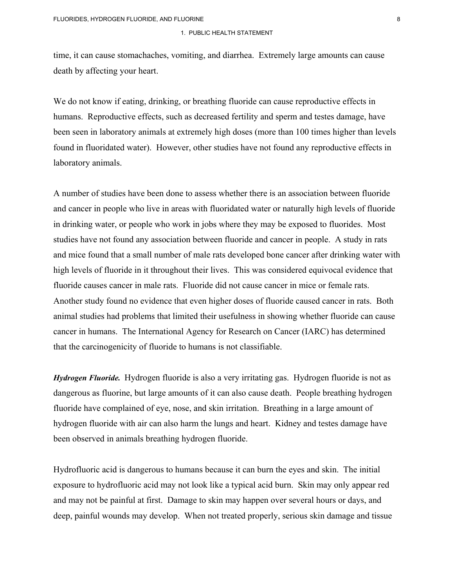time, it can cause stomachaches, vomiting, and diarrhea. Extremely large amounts can cause death by affecting your heart.

We do not know if eating, drinking, or breathing fluoride can cause reproductive effects in humans. Reproductive effects, such as decreased fertility and sperm and testes damage, have been seen in laboratory animals at extremely high doses (more than 100 times higher than levels found in fluoridated water). However, other studies have not found any reproductive effects in laboratory animals.

A number of studies have been done to assess whether there is an association between fluoride and cancer in people who live in areas with fluoridated water or naturally high levels of fluoride in drinking water, or people who work in jobs where they may be exposed to fluorides. Most studies have not found any association between fluoride and cancer in people. A study in rats and mice found that a small number of male rats developed bone cancer after drinking water with high levels of fluoride in it throughout their lives. This was considered equivocal evidence that fluoride causes cancer in male rats. Fluoride did not cause cancer in mice or female rats. Another study found no evidence that even higher doses of fluoride caused cancer in rats. Both animal studies had problems that limited their usefulness in showing whether fluoride can cause cancer in humans. The International Agency for Research on Cancer (IARC) has determined that the carcinogenicity of fluoride to humans is not classifiable.

*Hydrogen Fluoride.* Hydrogen fluoride is also a very irritating gas. Hydrogen fluoride is not as dangerous as fluorine, but large amounts of it can also cause death. People breathing hydrogen fluoride have complained of eye, nose, and skin irritation. Breathing in a large amount of hydrogen fluoride with air can also harm the lungs and heart. Kidney and testes damage have been observed in animals breathing hydrogen fluoride.

Hydrofluoric acid is dangerous to humans because it can burn the eyes and skin. The initial exposure to hydrofluoric acid may not look like a typical acid burn. Skin may only appear red and may not be painful at first. Damage to skin may happen over several hours or days, and deep, painful wounds may develop. When not treated properly, serious skin damage and tissue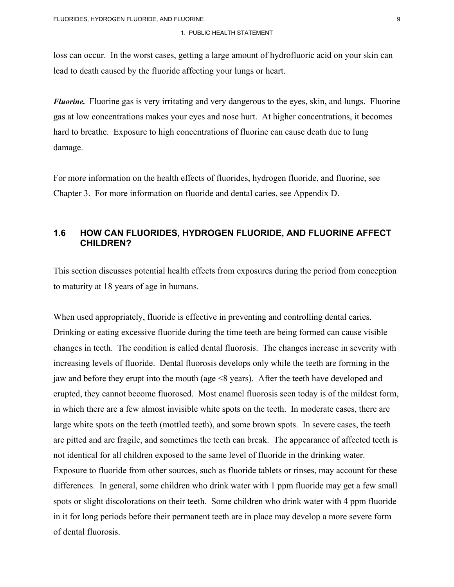loss can occur. In the worst cases, getting a large amount of hydrofluoric acid on your skin can lead to death caused by the fluoride affecting your lungs or heart.

*Fluorine.* Fluorine gas is very irritating and very dangerous to the eyes, skin, and lungs. Fluorine gas at low concentrations makes your eyes and nose hurt. At higher concentrations, it becomes hard to breathe. Exposure to high concentrations of fluorine can cause death due to lung damage.

For more information on the health effects of fluorides, hydrogen fluoride, and fluorine, see Chapter 3. For more information on fluoride and dental caries, see Appendix D.

### **1.6 HOW CAN FLUORIDES, HYDROGEN FLUORIDE, AND FLUORINE AFFECT CHILDREN?**

This section discusses potential health effects from exposures during the period from conception to maturity at 18 years of age in humans.

When used appropriately, fluoride is effective in preventing and controlling dental caries. Drinking or eating excessive fluoride during the time teeth are being formed can cause visible changes in teeth. The condition is called dental fluorosis. The changes increase in severity with increasing levels of fluoride. Dental fluorosis develops only while the teeth are forming in the jaw and before they erupt into the mouth (age <8 years). After the teeth have developed and erupted, they cannot become fluorosed. Most enamel fluorosis seen today is of the mildest form, in which there are a few almost invisible white spots on the teeth. In moderate cases, there are large white spots on the teeth (mottled teeth), and some brown spots. In severe cases, the teeth are pitted and are fragile, and sometimes the teeth can break. The appearance of affected teeth is not identical for all children exposed to the same level of fluoride in the drinking water. Exposure to fluoride from other sources, such as fluoride tablets or rinses, may account for these differences. In general, some children who drink water with 1 ppm fluoride may get a few small spots or slight discolorations on their teeth. Some children who drink water with 4 ppm fluoride in it for long periods before their permanent teeth are in place may develop a more severe form of dental fluorosis.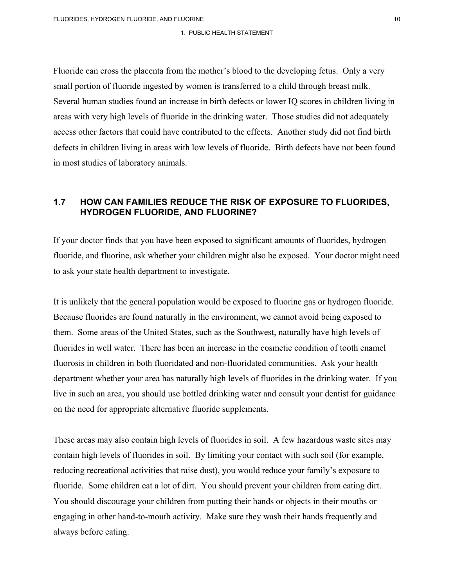Fluoride can cross the placenta from the mother's blood to the developing fetus. Only a very small portion of fluoride ingested by women is transferred to a child through breast milk. Several human studies found an increase in birth defects or lower IQ scores in children living in areas with very high levels of fluoride in the drinking water. Those studies did not adequately access other factors that could have contributed to the effects. Another study did not find birth defects in children living in areas with low levels of fluoride. Birth defects have not been found in most studies of laboratory animals.

# **1.7 HOW CAN FAMILIES REDUCE THE RISK OF EXPOSURE TO FLUORIDES, HYDROGEN FLUORIDE, AND FLUORINE?**

If your doctor finds that you have been exposed to significant amounts of fluorides, hydrogen fluoride, and fluorine, ask whether your children might also be exposed. Your doctor might need to ask your state health department to investigate.

It is unlikely that the general population would be exposed to fluorine gas or hydrogen fluoride. Because fluorides are found naturally in the environment, we cannot avoid being exposed to them. Some areas of the United States, such as the Southwest, naturally have high levels of fluorides in well water. There has been an increase in the cosmetic condition of tooth enamel fluorosis in children in both fluoridated and non-fluoridated communities. Ask your health department whether your area has naturally high levels of fluorides in the drinking water. If you live in such an area, you should use bottled drinking water and consult your dentist for guidance on the need for appropriate alternative fluoride supplements.

These areas may also contain high levels of fluorides in soil. A few hazardous waste sites may contain high levels of fluorides in soil. By limiting your contact with such soil (for example, reducing recreational activities that raise dust), you would reduce your family's exposure to fluoride. Some children eat a lot of dirt. You should prevent your children from eating dirt. You should discourage your children from putting their hands or objects in their mouths or engaging in other hand-to-mouth activity. Make sure they wash their hands frequently and always before eating.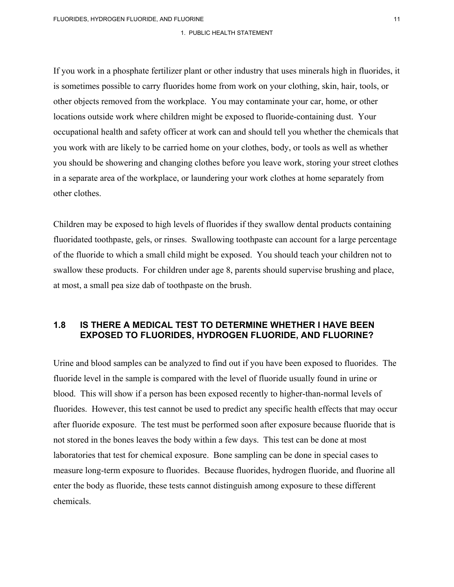If you work in a phosphate fertilizer plant or other industry that uses minerals high in fluorides, it is sometimes possible to carry fluorides home from work on your clothing, skin, hair, tools, or other objects removed from the workplace. You may contaminate your car, home, or other locations outside work where children might be exposed to fluoride-containing dust. Your occupational health and safety officer at work can and should tell you whether the chemicals that you work with are likely to be carried home on your clothes, body, or tools as well as whether you should be showering and changing clothes before you leave work, storing your street clothes in a separate area of the workplace, or laundering your work clothes at home separately from other clothes.

Children may be exposed to high levels of fluorides if they swallow dental products containing fluoridated toothpaste, gels, or rinses. Swallowing toothpaste can account for a large percentage of the fluoride to which a small child might be exposed. You should teach your children not to swallow these products. For children under age 8, parents should supervise brushing and place, at most, a small pea size dab of toothpaste on the brush.

# **1.8 IS THERE A MEDICAL TEST TO DETERMINE WHETHER I HAVE BEEN EXPOSED TO FLUORIDES, HYDROGEN FLUORIDE, AND FLUORINE?**

Urine and blood samples can be analyzed to find out if you have been exposed to fluorides. The fluoride level in the sample is compared with the level of fluoride usually found in urine or blood. This will show if a person has been exposed recently to higher-than-normal levels of fluorides. However, this test cannot be used to predict any specific health effects that may occur after fluoride exposure. The test must be performed soon after exposure because fluoride that is not stored in the bones leaves the body within a few days. This test can be done at most laboratories that test for chemical exposure. Bone sampling can be done in special cases to measure long-term exposure to fluorides. Because fluorides, hydrogen fluoride, and fluorine all enter the body as fluoride, these tests cannot distinguish among exposure to these different chemicals.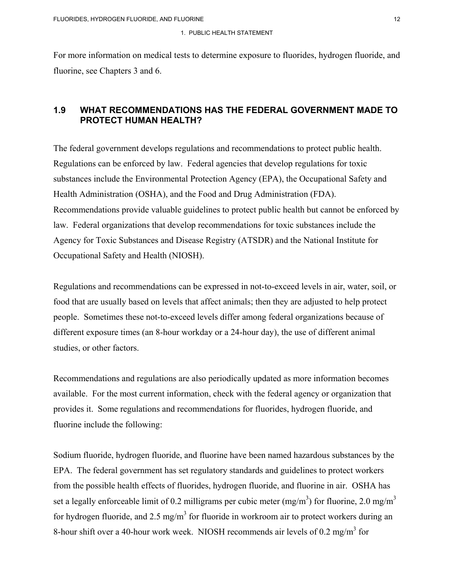For more information on medical tests to determine exposure to fluorides, hydrogen fluoride, and fluorine, see Chapters 3 and 6.

# **1.9 WHAT RECOMMENDATIONS HAS THE FEDERAL GOVERNMENT MADE TO PROTECT HUMAN HEALTH?**

The federal government develops regulations and recommendations to protect public health. Regulations can be enforced by law. Federal agencies that develop regulations for toxic substances include the Environmental Protection Agency (EPA), the Occupational Safety and Health Administration (OSHA), and the Food and Drug Administration (FDA). Recommendations provide valuable guidelines to protect public health but cannot be enforced by law. Federal organizations that develop recommendations for toxic substances include the Agency for Toxic Substances and Disease Registry (ATSDR) and the National Institute for Occupational Safety and Health (NIOSH).

Regulations and recommendations can be expressed in not-to-exceed levels in air, water, soil, or food that are usually based on levels that affect animals; then they are adjusted to help protect people. Sometimes these not-to-exceed levels differ among federal organizations because of different exposure times (an 8-hour workday or a 24-hour day), the use of different animal studies, or other factors.

Recommendations and regulations are also periodically updated as more information becomes available. For the most current information, check with the federal agency or organization that provides it. Some regulations and recommendations for fluorides, hydrogen fluoride, and fluorine include the following:

Sodium fluoride, hydrogen fluoride, and fluorine have been named hazardous substances by the EPA. The federal government has set regulatory standards and guidelines to protect workers from the possible health effects of fluorides, hydrogen fluoride, and fluorine in air. OSHA has set a legally enforceable limit of 0.2 milligrams per cubic meter (mg/m<sup>3</sup>) for fluorine, 2.0 mg/m<sup>3</sup> for hydrogen fluoride, and 2.5 mg/m<sup>3</sup> for fluoride in workroom air to protect workers during an 8-hour shift over a 40-hour work week. NIOSH recommends air levels of 0.2 mg/m<sup>3</sup> for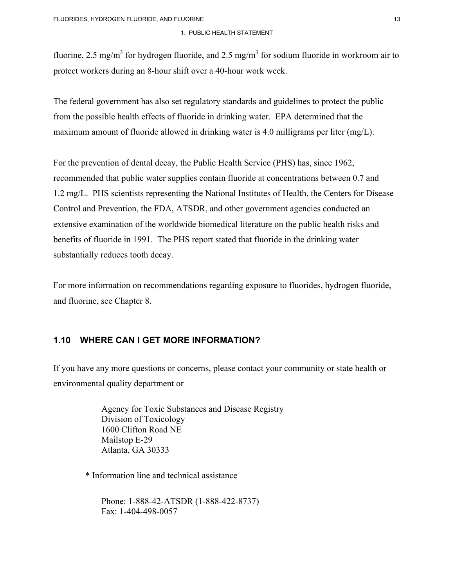fluorine, 2.5 mg/m<sup>3</sup> for hydrogen fluoride, and 2.5 mg/m<sup>3</sup> for sodium fluoride in workroom air to protect workers during an 8-hour shift over a 40-hour work week.

The federal government has also set regulatory standards and guidelines to protect the public from the possible health effects of fluoride in drinking water. EPA determined that the maximum amount of fluoride allowed in drinking water is 4.0 milligrams per liter (mg/L).

For the prevention of dental decay, the Public Health Service (PHS) has, since 1962, recommended that public water supplies contain fluoride at concentrations between 0.7 and 1.2 mg/L. PHS scientists representing the National Institutes of Health, the Centers for Disease Control and Prevention, the FDA, ATSDR, and other government agencies conducted an extensive examination of the worldwide biomedical literature on the public health risks and benefits of fluoride in 1991. The PHS report stated that fluoride in the drinking water substantially reduces tooth decay.

For more information on recommendations regarding exposure to fluorides, hydrogen fluoride, and fluorine, see Chapter 8.

# **1.10 WHERE CAN I GET MORE INFORMATION?**

If you have any more questions or concerns, please contact your community or state health or environmental quality department or

> Agency for Toxic Substances and Disease Registry Division of Toxicology 1600 Clifton Road NE Mailstop E-29 Atlanta, GA 30333

\* Information line and technical assistance

 Phone: 1-888-42-ATSDR (1-888-422-8737) Fax: 1-404-498-0057